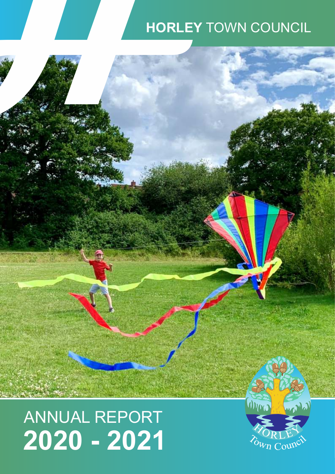# HORLEY TOWN COUNCIL

# ANNUAL REPORT **2020 - 2021**

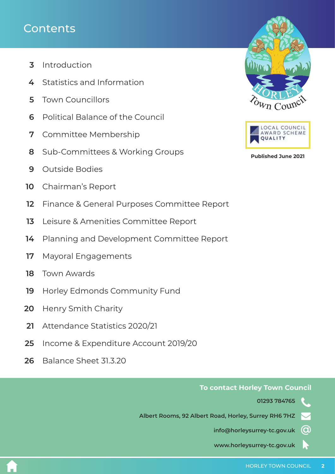# **Contents**

- [Introduction](#page-2-0)  **3**
- [Statistics and Information](#page-3-0) **4**
- [Town Councillors](#page-4-0) **5**
- [Political Balance of the Council](#page-5-0) **6**
- [Committee Membership](#page-6-0) **7**
- [Sub-Committees & Working Groups](#page-7-0) **8**
- [Outside Bodies](#page-8-0) **9**
- [Chairman's Report](#page-9-0) **10**
- [Finance & General Purposes Committee Report](#page-11-0) **12**
- [Leisure & Amenities Committee Report](#page-12-0) **13**
- [Planning and Development Committee Report](#page-13-0) **14**
- [Mayoral Engagements](#page-16-0) **17**
- [Town Awards](#page-17-0)  **18**
- [Horley Edmonds Community Fund](#page-18-0)  **19**
- [Henry Smith Charity](#page-19-0)  **20**
- [Attendance Statistics 2020/21](#page-20-0) **21**
- [Income & Expenditure Account 2019/20](#page-24-0) **25**
- [Balance Sheet 31.3.20](#page-25-0) **26**





**Published June 2021**

### **To contact Horley Town Council**

**01293 784765** 

**Albert Rooms, 92 Albert Road, Horley, Surrey RH6 7HZ**  $\blacktriangledown$ 

**info@horleysurrey-tc.gov.uk @**

**www.horleysurrey-tc.gov.uk**  $\blacktriangleright$ 

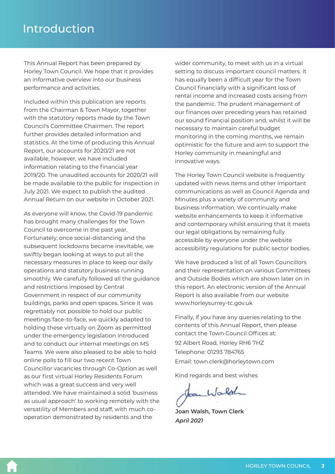<span id="page-2-0"></span>This Annual Report has been prepared by Horley Town Council. We hope that it provides an informative overview into our business performance and activities.

Included within this publication are reports from the Chairman & Town Mayor, together with the statutory reports made by the Town Council's Committee Chairmen. The report further provides detailed information and statistics. At the time of producing this Annual Report, our accounts for 2020/21 are not available, however, we have included information relating to the financial year 2019/20. The unaudited accounts for 2020/21 will be made available to the public for inspection in July 2021. We expect to publish the audited Annual Return on our website in October 2021.

As everyone will know, the Covid-19 pandemic has brought many challenges for the Town Council to overcome in the past year. Fortunately, once social-distancing and the subsequent lockdowns became inevitable, we swiftly began looking at ways to put all the necessary measures in place to keep our daily operations and statutory business running smoothly. We carefully followed all the guidance and restrictions imposed by Central Government in respect of our community buildings, parks and open spaces. Since it was regrettably not possible to hold our public meetings face-to-face, we quickly adapted to holding these virtually on Zoom as permitted under the emergency legislation introduced and to conduct our internal meetings on MS Teams. We were also pleased to be able to hold online polls to fill our two recent Town Councillor vacancies through Co-Option as well as our first virtual Horley Residents Forum which was a great success and very well attended. We have maintained a solid 'business as usual approach' to working remotely with the versatility of Members and staff, with much cooperation demonstrated by residents and the

wider community, to meet with us in a virtual setting to discuss important council matters. It has equally been a difficult year for the Town Council financially with a significant loss of rental income and increased costs arising from the pandemic. The prudent management of our finances over preceding years has retained our sound financial position and, whilst it will be necessary to maintain careful budget monitoring in the coming months, we remain optimistic for the future and aim to support the Horley community in meaningful and innovative ways.

The Horley Town Council website is frequently updated with news items and other important communications as well as Council Agenda and Minutes plus a variety of community and business information. We continually make website enhancements to keep it informative and contemporary whilst ensuring that it meets our legal obligations by remaining fully accessible by everyone under the website accessibility regulations for public sector bodies.

We have produced a list of all Town Councillors and their representation on various Committees and Outside Bodies which are shown later on in this report. An electronic version of the Annual Report is also available from our website www.horleysurrey-tc.gov.uk

Finally, if you have any queries relating to the contents of this Annual Report, then please contact the Town Council Offices at: Telephone: 01293 784765 92 Albert Road, Horley RH6 7HZ Email: town.clerk@horleytown.com

Kind regards and best wishes

Jan Walsh

**Joan Walsh, Town Clerk** *April 2021*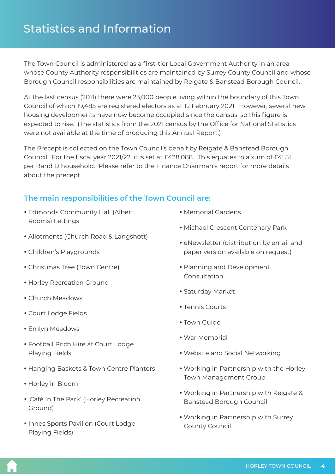<span id="page-3-0"></span>The Town Council is administered as a first-tier Local Government Authority in an area whose County Authority responsibilities are maintained by Surrey County Council and whose Borough Council responsibilities are maintained by Reigate & Banstead Borough Council.

At the last census (2011) there were 23,000 people living within the boundary of this Town Council of which 19,485 are registered electors as at 12 February 2021. However, several new housing developments have now become occupied since the census, so this figure is expected to rise. (The statistics from the 2021 census by the Office for National Statistics were not available at the time of producing this Annual Report.)

The Precept is collected on the Town Council's behalf by Reigate & Banstead Borough Council. For the fiscal year 2021/22, it is set at £428,088. This equates to a sum of £41.51 per Band D household. Please refer to the Finance Chairman's report for more details about the precept.

### **The main responsibilities of the Town Council are:**

- Edmonds Community Hall (Albert Rooms) Lettings
- Allotments (Church Road & Langshott)
- Children's Playgrounds
- Christmas Tree (Town Centre)
- Horley Recreation Ground
- Church Meadows
- Court Lodge Fields
- Emlyn Meadows
- Football Pitch Hire at Court Lodge Playing Fields
- Hanging Baskets & Town Centre Planters
- Horley in Bloom
- 'Café In The Park' (Horley Recreation Ground)
- Innes Sports Pavilion (Court Lodge Playing Fields)
- Memorial Gardens
- Michael Crescent Centenary Park
- eNewsletter (distribution by email and paper version available on request)
- Planning and Development Consultation
- Saturday Market
- Tennis Courts
- Town Guide
- $\bullet$  War Memorial
- Website and Social Networking
- Working in Partnership with the Horley Town Management Group
- Working in Partnership with Reigate & Banstead Borough Council
- Working in Partnership with Surrey County Council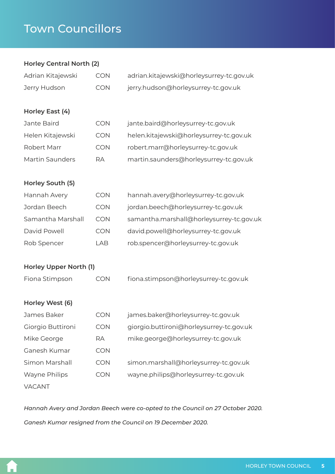# <span id="page-4-0"></span>Town Councillors

### **Horley Central North (2)**

| Adrian Kitajewski      | <b>CON</b> | adrian.kitajewski@horleysurrey-tc.gov.uk |  |
|------------------------|------------|------------------------------------------|--|
| Jerry Hudson           | <b>CON</b> | jerry.hudson@horleysurrey-tc.gov.uk      |  |
| Horley East (4)        |            |                                          |  |
| Jante Baird            | <b>CON</b> | jante.baird@horleysurrey-tc.gov.uk       |  |
| Helen Kitajewski       | <b>CON</b> | helen.kitajewski@horleysurrey-tc.gov.uk  |  |
| Robert Marr            | <b>CON</b> | robert.marr@horleysurrey-tc.gov.uk       |  |
| <b>Martin Saunders</b> | <b>RA</b>  | martin.saunders@horleysurrey-tc.gov.uk   |  |
| Horley South (5)       |            |                                          |  |
| Hannah Avery           | <b>CON</b> | hannah.avery@horleysurrey-tc.gov.uk      |  |
| Jordan Beech           | <b>CON</b> | jordan.beech@horleysurrey-tc.gov.uk      |  |
| Samantha Marshall      | <b>CON</b> | samantha.marshall@horleysurrey-tc.gov.uk |  |
| David Powell           | <b>CON</b> | david.powell@horleysurrey-tc.gov.uk      |  |
| Rob Spencer            | <b>LAB</b> | rob.spencer@horleysurrey-tc.gov.uk       |  |
| Horley Upper North (1) |            |                                          |  |
| Fiona Stimpson         | <b>CON</b> | fiona.stimpson@horleysurrey-tc.gov.uk    |  |
| Horley West (6)        |            |                                          |  |
| James Baker            | <b>CON</b> | james.baker@horleysurrey-tc.gov.uk       |  |
| Giorgio Buttironi      | <b>CON</b> | giorgio.buttironi@horleysurrey-tc.gov.uk |  |
| Mike George            | RA         | mike.george@horleysurrey-tc.gov.uk       |  |
| Ganesh Kumar           | <b>CON</b> |                                          |  |
| Simon Marshall         | CON        | simon.marshall@horleysurrey-tc.gov.uk    |  |
| Wayne Philips          | <b>CON</b> | wayne.philips@horleysurrey-tc.gov.uk     |  |
| VACANT                 |            |                                          |  |

*Ganesh Kumar resigned from the Council on 19 December 2020. Hannah Avery and Jordan Beech were co-opted to the Council on 27 October 2020.*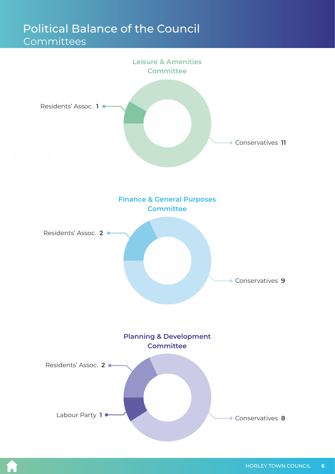# <span id="page-5-0"></span>Political Balance of the Council

## Committees



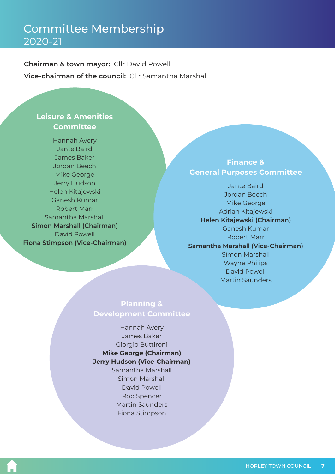# <span id="page-6-0"></span>Committee Membership 2020-21

**Chairman & town mayor:** Cllr David Powell **Vice-chairman of the council:** Cllr Samantha Marshall

### **Leisure & Amenities Committee**

Jordan Beech Helen Kitajewski Samantha Marshall Hannah Avery Jante Baird James Baker Mike George Jerry Hudson Ganesh Kumar Robert Marr **Fiona Stimpson (Vice-Chairman)** David Powell **Simon Marshall (Chairman)**

### **Finance & General Purposes Committee**

Martin Saunders Mike George David Powell Jordan Beech Jante Baird Ganesh Kumar Robert Marr Adrian Kitajewski **Samantha Marshall (Vice-Chairman)** Simon Marshall **Helen Kitajewski (Chairman)** Wayne Philips

### **Planning & Development Committee**

### **Mike George (Chairman)** Giorgio Buttironi James Baker **Jerry Hudson (Vice-Chairman)** Hannah Avery

Rob Spencer Simon Marshall David Powell Martin Saunders Fiona Stimpson Samantha Marshall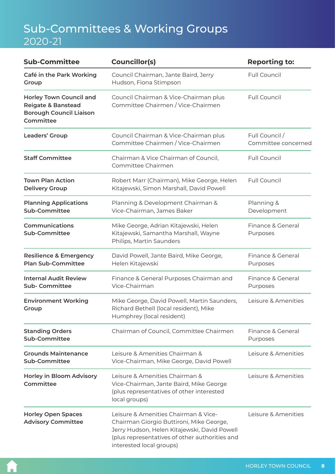# <span id="page-7-0"></span>Sub-Committees & Working Groups 2020-21

| <b>Sub-Committee</b>                                                                                                                                                                    | <b>Councillor(s)</b>                                                                                                                                                                                           | <b>Reporting to:</b>                  |  |
|-----------------------------------------------------------------------------------------------------------------------------------------------------------------------------------------|----------------------------------------------------------------------------------------------------------------------------------------------------------------------------------------------------------------|---------------------------------------|--|
| Café in the Park Working<br>Group                                                                                                                                                       | Council Chairman, Jante Baird, Jerry<br>Hudson, Fiona Stimpson                                                                                                                                                 | <b>Full Council</b>                   |  |
| <b>Horley Town Council and</b><br><b>Reigate &amp; Banstead</b><br><b>Borough Council Liaison</b><br>Committee                                                                          | Council Chairman & Vice-Chairman plus<br>Committee Chairmen / Vice-Chairmen                                                                                                                                    | <b>Full Council</b>                   |  |
| Leaders' Group                                                                                                                                                                          | Council Chairman & Vice-Chairman plus<br>Committee Chairmen / Vice-Chairmen                                                                                                                                    | Full Council /<br>Committee concerned |  |
| <b>Staff Committee</b>                                                                                                                                                                  | Chairman & Vice Chairman of Council,<br>Committee Chairmen                                                                                                                                                     | <b>Full Council</b>                   |  |
| <b>Town Plan Action</b><br><b>Delivery Group</b>                                                                                                                                        | Robert Marr (Chairman), Mike George, Helen<br>Kitajewski, Simon Marshall, David Powell                                                                                                                         | <b>Full Council</b>                   |  |
| <b>Planning Applications</b><br><b>Sub-Committee</b>                                                                                                                                    | Planning & Development Chairman &<br>Vice-Chairman, James Baker                                                                                                                                                | Planning &<br>Development             |  |
| Communications<br>Sub-Committee                                                                                                                                                         | Mike George, Adrian Kitajewski, Helen<br>Kitajewski, Samantha Marshall, Wayne<br>Philips, Martin Saunders                                                                                                      | Finance & General<br>Purposes         |  |
| <b>Resilience &amp; Emergency</b><br><b>Plan Sub-Committee</b>                                                                                                                          | David Powell, Jante Baird, Mike George,<br>Helen Kitajewski                                                                                                                                                    | Finance & General<br>Purposes         |  |
| <b>Internal Audit Review</b><br><b>Sub-Committee</b>                                                                                                                                    | Finance & General Purposes Chairman and<br>Vice-Chairman                                                                                                                                                       | Finance & General<br>Purposes         |  |
| <b>Environment Working</b><br>Group                                                                                                                                                     | Mike George, David Powell, Martin Saunders,<br>Richard Bethell (local resident), Mike<br>Humphrey (local resident)                                                                                             | Leisure & Amenities                   |  |
| <b>Standing Orders</b><br><b>Sub-Committee</b>                                                                                                                                          | Chairman of Council, Committee Chairmen                                                                                                                                                                        | Finance & General<br>Purposes         |  |
| <b>Grounds Maintenance</b><br><b>Sub-Committee</b>                                                                                                                                      | Leisure & Amenities Chairman &<br>Vice-Chairman, Mike George, David Powell                                                                                                                                     | Leisure & Amenities                   |  |
| Leisure & Amenities Chairman &<br><b>Horley in Bloom Advisory</b><br>Committee<br>Vice-Chairman, Jante Baird, Mike George<br>(plus representatives of other interested<br>local groups) |                                                                                                                                                                                                                | Leisure & Amenities                   |  |
| <b>Horley Open Spaces</b><br><b>Advisory Committee</b>                                                                                                                                  | Leisure & Amenities Chairman & Vice-<br>Chairman Giorgio Buttironi, Mike George,<br>Jerry Hudson, Helen Kitajewski, David Powell<br>(plus representatives of other authorities and<br>interested local groups) | Leisure & Amenities                   |  |

A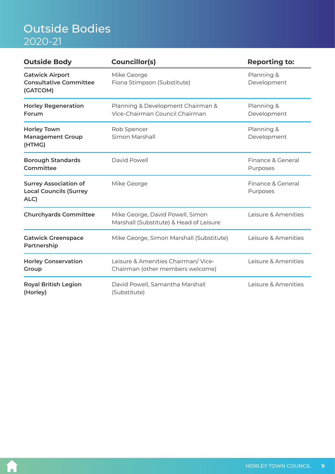# <span id="page-8-0"></span>Outside Bodies 2020-21

| <b>Outside Body</b>                                                                                        | <b>Councillor(s)</b>                                                        | <b>Reporting to:</b>          |  |
|------------------------------------------------------------------------------------------------------------|-----------------------------------------------------------------------------|-------------------------------|--|
| <b>Gatwick Airport</b><br><b>Consultative Committee</b><br>(GATCOM)                                        | Mike George<br>Fiona Stimpson (Substitute)                                  | Planning &<br>Development     |  |
| <b>Horley Regeneration</b><br>Planning & Development Chairman &<br>Vice-Chairman Council Chairman<br>Forum |                                                                             | Planning &<br>Development     |  |
| <b>Horley Town</b><br><b>Management Group</b><br>(HTMG)                                                    | Rob Spencer<br>Simon Marshall                                               | Planning &<br>Development     |  |
| <b>Borough Standards</b><br>Committee                                                                      | David Powell                                                                | Finance & General<br>Purposes |  |
| <b>Surrey Association of</b><br><b>Local Councils (Surrey</b><br>ALC)                                      | Mike George                                                                 | Finance & General<br>Purposes |  |
| <b>Churchyards Committee</b>                                                                               | Mike George, David Powell, Simon<br>Marshall (Substitute) & Head of Leisure | Leisure & Amenities           |  |
| <b>Gatwick Greenspace</b><br>Partnership                                                                   | Mike George, Simon Marshall (Substitute)                                    | Leisure & Amenities           |  |
| <b>Horley Conservation</b><br>Group                                                                        | Leisure & Amenities Chairman/Vice-<br>Chairman (other members welcome)      | Leisure & Amenities           |  |
| <b>Royal British Legion</b><br>David Powell, Samantha Marshall<br>(Horley)<br>(Substitute)                 |                                                                             | Leisure & Amenities           |  |

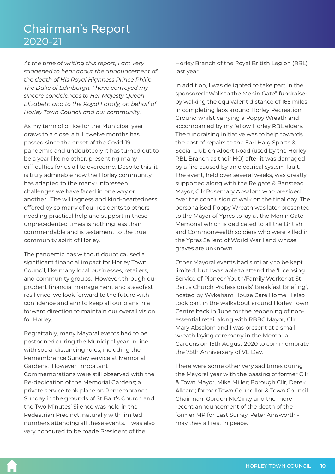# <span id="page-9-0"></span>Chairman's Report 2020-21

*At the time of writing this report, I am very saddened to hear about the announcement of the death of His Royal Highness Prince Philip, The Duke of Edinburgh. I have conveyed my sincere condolences to Her Majesty Queen Elizabeth and to the Royal Family, on behalf of Horley Town Council and our community.*

As my term of office for the Municipal year draws to a close, a full twelve months has passed since the onset of the Covid-19 pandemic and undoubtedly it has turned out to be a year like no other, presenting many difficulties for us all to overcome. Despite this, it is truly admirable how the Horley community has adapted to the many unforeseen challenges we have faced in one way or another. The willingness and kind-heartedness offered by so many of our residents to others needing practical help and support in these unprecedented times is nothing less than commendable and is testament to the true community spirit of Horley.

The pandemic has without doubt caused a significant financial impact for Horley Town Council, like many local businesses, retailers, and community groups. However, through our prudent financial management and steadfast resilience, we look forward to the future with confidence and aim to keep all our plans in a forward direction to maintain our overall vision for Horley.

Regrettably, many Mayoral events had to be postponed during the Municipal year, in line with social distancing rules, including the Remembrance Sunday service at Memorial Gardens. However, important Commemorations were still observed with the Re-dedication of the Memorial Gardens; a private service took place on Remembrance Sunday in the grounds of St Bart's Church and the Two Minutes' Silence was held in the Pedestrian Precinct, naturally with limited numbers attending all these events. I was also very honoured to be made President of the

Horley Branch of the Royal British Legion (RBL) last year.

In addition, I was delighted to take part in the sponsored "Walk to the Menin Gate" fundraiser by walking the equivalent distance of 165 miles in completing laps around Horley Recreation Ground whilst carrying a Poppy Wreath and accompanied by my fellow Horley RBL elders. The fundraising initiative was to help towards the cost of repairs to the Earl Haig Sports & Social Club on Albert Road (used by the Horley RBL Branch as their HQ) after it was damaged by a fire caused by an electrical system fault. The event, held over several weeks, was greatly supported along with the Reigate & Banstead Mayor, Cllr Rosemary Absalom who presided over the conclusion of walk on the final day. The personalised Poppy Wreath was later presented to the Mayor of Ypres to lay at the Menin Gate Memorial which is dedicated to all the British and Commonwealth soldiers who were killed in the Ypres Salient of World War I and whose graves are unknown.

Other Mayoral events had similarly to be kept limited, but I was able to attend the 'Licensing Service of Pioneer Youth/Family Worker at St Bart's Church Professionals' Breakfast Briefing', hosted by Wykeham House Care Home. I also took part in the walkabout around Horley Town Centre back in June for the reopening of nonessential retail along with RBBC Mayor, Cllr Mary Absalom and I was present at a small wreath laying ceremony in the Memorial Gardens on 15th August 2020 to commemorate the 75th Anniversary of VE Day.

There were some other very sad times during the Mayoral year with the passing of former Cllr & Town Mayor, Mike Miller; Borough Cllr, Derek Allcard; former Town Councillor & Town Council Chairman, Gordon McGinty and the more recent announcement of the death of the former MP for East Surrey, Peter Ainsworth may they all rest in peace.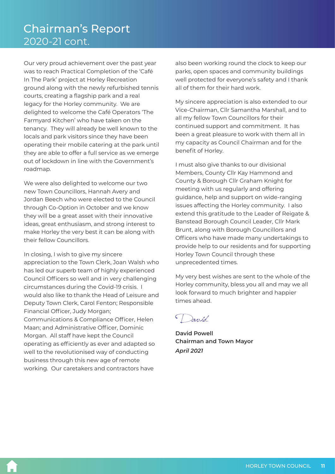Our very proud achievement over the past year was to reach Practical Completion of the 'Café In The Park' project at Horley Recreation ground along with the newly refurbished tennis courts, creating a flagship park and a real legacy for the Horley community. We are delighted to welcome the Café Operators 'The Farmyard Kitchen' who have taken on the tenancy. They will already be well known to the locals and park visitors since they have been operating their mobile catering at the park until they are able to offer a full service as we emerge out of lockdown in line with the Government's roadmap.

We were also delighted to welcome our two new Town Councillors, Hannah Avery and Jordan Beech who were elected to the Council through Co-Option in October and we know they will be a great asset with their innovative ideas, great enthusiasm, and strong interest to make Horley the very best it can be along with their fellow Councillors.

In closing, I wish to give my sincere appreciation to the Town Clerk, Joan Walsh who has led our superb team of highly experienced Council Officers so well and in very challenging circumstances during the Covid-19 crisis. I would also like to thank the Head of Leisure and Deputy Town Clerk, Carol Fenton; Responsible Financial Officer, Judy Morgan; Communications & Compliance Officer, Helen Maan; and Administrative Officer, Dominic Morgan. All staff have kept the Council operating as efficiently as ever and adapted so well to the revolutionised way of conducting business through this new age of remote working. Our caretakers and contractors have

also been working round the clock to keep our parks, open spaces and community buildings well protected for everyone's safety and I thank all of them for their hard work.

My sincere appreciation is also extended to our Vice-Chairman, Cllr Samantha Marshall, and to all my fellow Town Councillors for their continued support and commitment. It has been a great pleasure to work with them all in my capacity as Council Chairman and for the benefit of Horley.

I must also give thanks to our divisional Members, County Cllr Kay Hammond and County & Borough Cllr Graham Knight for meeting with us regularly and offering guidance, help and support on wide-ranging issues affecting the Horley community. I also extend this gratitude to the Leader of Reigate & Banstead Borough Council Leader, Cllr Mark Brunt, along with Borough Councillors and Officers who have made many undertakings to provide help to our residents and for supporting Horley Town Council through these unprecedented times.

My very best wishes are sent to the whole of the Horley community, bless you all and may we all look forward to much brighter and happier times ahead.

David

**David Powell Chairman and Town Mayor** *April 2021*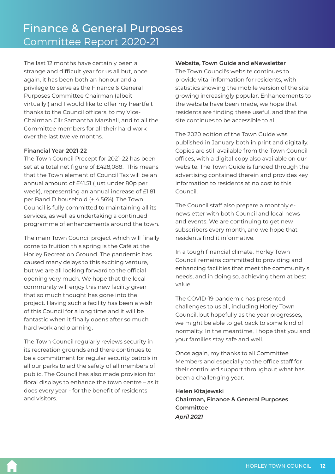<span id="page-11-0"></span>The last 12 months have certainly been a strange and difficult year for us all but, once again, it has been both an honour and a privilege to serve as the Finance & General Purposes Committee Chairman (albeit virtually!) and I would like to offer my heartfelt thanks to the Council officers, to my Vice-Chairman Cllr Samantha Marshall, and to all the Committee members for all their hard work over the last twelve months.

### **Financial Year 2021-22**

The Town Council Precept for 2021-22 has been set at a total net figure of £428,088. This means that the Town element of Council Tax will be an annual amount of £41.51 (just under 80p per week), representing an annual increase of £1.81 per Band D household (+ 4.56%). The Town Council is fully committed to maintaining all its services, as well as undertaking a continued programme of enhancements around the town.

The main Town Council project which will finally come to fruition this spring is the Café at the Horley Recreation Ground. The pandemic has caused many delays to this exciting venture, but we are all looking forward to the official opening very much. We hope that the local community will enjoy this new facility given that so much thought has gone into the project. Having such a facility has been a wish of this Council for a long time and it will be fantastic when it finally opens after so much hard work and planning.

The Town Council regularly reviews security in its recreation grounds and there continues to be a commitment for regular security patrols in all our parks to aid the safety of all members of public. The Council has also made provision for floral displays to enhance the town centre – as it does every year - for the benefit of residents and visitors.

### **Website, Town Guide and eNewsletter**

The Town Council's website continues to provide vital information for residents, with statistics showing the mobile version of the site growing increasingly popular. Enhancements to the website have been made, we hope that residents are finding these useful, and that the site continues to be accessible to all.

The 2020 edition of the Town Guide was published in January both in print and digitally. Copies are still available from the Town Council offices, with a digital copy also available on our website. The Town Guide is funded through the advertising contained therein and provides key information to residents at no cost to this Council.

The Council staff also prepare a monthly enewsletter with both Council and local news and events. We are continuing to get new subscribers every month, and we hope that residents find it informative.

In a tough financial climate, Horley Town Council remains committed to providing and enhancing facilities that meet the community's needs, and in doing so, achieving them at best value.

The COVID-19 pandemic has presented challenges to us all, including Horley Town Council, but hopefully as the year progresses, we might be able to get back to some kind of normality. In the meantime, I hope that you and your families stay safe and well.

Once again, my thanks to all Committee Members and especially to the office staff for their continued support throughout what has been a challenging year.

*April 2021* **Helen Kitajewski Chairman, Finance & General Purposes Committee**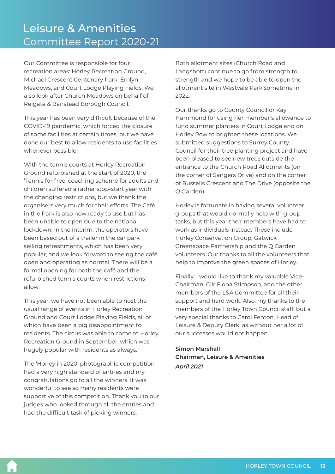<span id="page-12-0"></span>Our Committee is responsible for four recreation areas: Horley Recreation Ground, Michael Crescent Centenary Park, Emlyn Meadows, and Court Lodge Playing Fields. We also look after Church Meadows on behalf of Reigate & Banstead Borough Council.

This year has been very difficult because of the COVID-19 pandemic, which forced the closure of some facilities at certain times, but we have done our best to allow residents to use facilities whenever possible.

With the tennis courts at Horley Recreation Ground refurbished at the start of 2020, the 'Tennis for free' coaching scheme for adults and children suffered a rather stop-start year with the changing restrictions, but we thank the organisers very much for their efforts. The Café in the Park is also now ready to use but has been unable to open due to the national lockdown. In the interim, the operators have been based out of a trailer in the car park selling refreshments, which has been very popular, and we look forward to seeing the café open and operating as normal. There will be a formal opening for both the café and the refurbished tennis courts when restrictions allow.

This year, we have not been able to host the usual range of events in Horley Recreation Ground and Court Lodge Playing Fields, all of which have been a big disappointment to residents. The circus was able to come to Horley Recreation Ground in September, which was hugely popular with residents as always.

The 'Horley in 2020' photographic competition had a very high standard of entries and my congratulations go to all the winners. It was wonderful to see so many residents were supportive of this competition. Thank you to our judges who looked through all the entries and had the difficult task of picking winners.

Both allotment sites (Church Road and Langshott) continue to go from strength to strength and we hope to be able to open the allotment site in Westvale Park sometime in 2022.

Our thanks go to County Councillor Kay Hammond for using her member's allowance to fund summer planters in Court Lodge and on Horley Row to brighten these locations. We submitted suggestions to Surrey County Council for their tree planting project and have been pleased to see new trees outside the entrance to the Church Road Allotments (on the corner of Sangers Drive) and on the corner of Russells Crescent and The Drive (opposite the Q Garden).

Horley is fortunate in having several volunteer groups that would normally help with group tasks, but this year their members have had to work as individuals instead. These include Horley Conservation Group, Gatwick Greenspace Partnership and the Q Garden volunteers. Our thanks to all the volunteers that help to improve the green spaces of Horley.

Finally, I would like to thank my valuable Vice-Chairman, Cllr Fiona Stimpson, and the other members of the L&A Committee for all their support and hard work. Also, my thanks to the members of the Horley Town Council staff, but a very special thanks to Carol Fenton, Head of Leisure & Deputy Clerk, as without her a lot of our successes would not happen.

**Simon Marshall Chairman, Leisure & Amenities** *April 2021*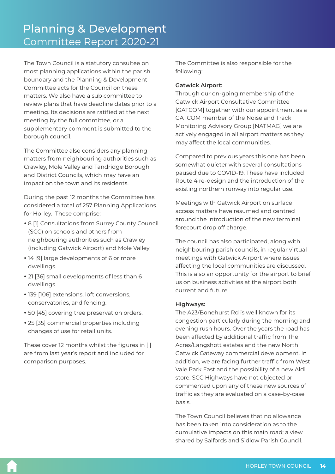<span id="page-13-0"></span>The Town Council is a statutory consultee on most planning applications within the parish boundary and the Planning & Development Committee acts for the Council on these matters. We also have a sub committee to review plans that have deadline dates prior to a meeting. Its decisions are ratified at the next meeting by the full committee, or a supplementary comment is submitted to the borough council.

The Committee also considers any planning matters from neighbouring authorities such as Crawley, Mole Valley and Tandridge Borough and District Councils, which may have an impact on the town and its residents.

During the past 12 months the Committee has considered a total of 257 Planning Applications for Horley. These comprise:

- 8 [1] Consultations from Surrey County Council (SCC) on schools and others from neighbouring authorities such as Crawley (including Gatwick Airport) and Mole Valley.
- 14 [9] large developments of 6 or more dwellings.
- 21 [36] small developments of less than 6 dwellings.
- 139 [106] extensions, loft conversions, conservatories, and fencing.
- 50 [45] covering tree preservation orders.
- 25 [35] commercial properties including changes of use for retail units.

These cover 12 months whilst the figures in [ ] are from last year's report and included for comparison purposes.

The Committee is also responsible for the following:

### **Gatwick Airport:**

Through our on-going membership of the Gatwick Airport Consultative Committee [GATCOM] together with our appointment as a GATCOM member of the Noise and Track Monitoring Advisory Group [NATMAG] we are actively engaged in all airport matters as they may affect the local communities.

Compared to previous years this one has been somewhat quieter with several consultations paused due to COVID-19. These have included Route 4 re-design and the introduction of the existing northern runway into regular use.

Meetings with Gatwick Airport on surface access matters have resumed and centred around the introduction of the new terminal forecourt drop off charge.

The council has also participated, along with neighbouring parish councils, in regular virtual meetings with Gatwick Airport where issues affecting the local communities are discussed. This is also an opportunity for the airport to brief us on business activities at the airport both current and future.

### **Highways:**

The A23/Bonehurst Rd is well known for its congestion particularly during the morning and evening rush hours. Over the years the road has been affected by additional traffic from The Acres/Langshott estates and the new North Gatwick Gateway commercial development. In addition, we are facing further traffic from West Vale Park East and the possibility of a new Aldi store. SCC Highways have not objected or commented upon any of these new sources of traffic as they are evaluated on a case-by-case basis.

The Town Council believes that no allowance has been taken into consideration as to the cumulative impacts on this main road; a view shared by Salfords and Sidlow Parish Council.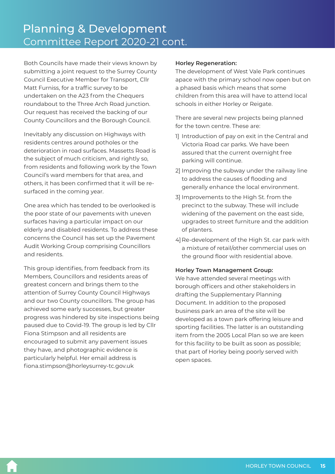Both Councils have made their views known by submitting a joint request to the Surrey County Council Executive Member for Transport, Cllr Matt Furniss, for a traffic survey to be undertaken on the A23 from the Chequers roundabout to the Three Arch Road junction. Our request has received the backing of our County Councillors and the Borough Council.

Inevitably any discussion on Highways with residents centres around potholes or the deterioration in road surfaces. Massetts Road is the subject of much criticism, and rightly so, from residents and following work by the Town Council's ward members for that area, and others, it has been confirmed that it will be resurfaced in the coming year.

One area which has tended to be overlooked is the poor state of our pavements with uneven surfaces having a particular impact on our elderly and disabled residents. To address these concerns the Council has set up the Pavement Audit Working Group comprising Councillors and residents.

This group identifies, from feedback from its Members, Councillors and residents areas of greatest concern and brings them to the attention of Surrey County Council Highways and our two County councillors. The group has achieved some early successes, but greater progress was hindered by site inspections being paused due to Covid-19. The group is led by Cllr Fiona Stimpson and all residents are encouraged to submit any pavement issues they have, and photographic evidence is particularly helpful. Her email address is fiona.stimpson@horleysurrey-tc.gov.uk

### **Horley Regeneration:**

The development of West Vale Park continues apace with the primary school now open but on a phased basis which means that some children from this area will have to attend local schools in either Horley or Reigate.

There are several new projects being planned for the town centre. These are:

- 1] Introduction of pay on exit in the Central and Victoria Road car parks. We have been assured that the current overnight free parking will continue.
- 2] Improving the subway under the railway line to address the causes of flooding and generally enhance the local environment.
- 3] Improvements to the High St. from the precinct to the subway. These will include widening of the pavement on the east side, upgrades to street furniture and the addition of planters.
- 4] Re-development of the High St. car park with a mixture of retail/other commercial uses on the ground floor with residential above.

### **Horley Town Management Group:**

We have attended several meetings with borough officers and other stakeholders in drafting the Supplementary Planning Document. In addition to the proposed business park an area of the site will be developed as a town park offering leisure and sporting facilities. The latter is an outstanding item from the 2005 Local Plan so we are keen for this facility to be built as soon as possible; that part of Horley being poorly served with open spaces.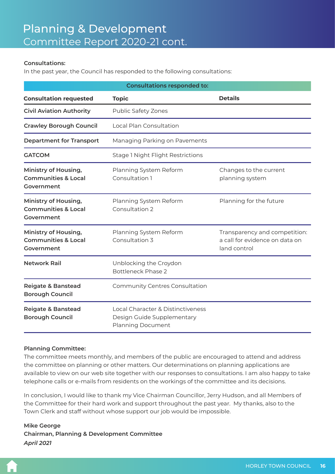### **Consultations:**

In the past year, the Council has responded to the following consultations:

| <b>Consultations responded to:</b>                                   |                                                                                             |                                                                                 |  |  |
|----------------------------------------------------------------------|---------------------------------------------------------------------------------------------|---------------------------------------------------------------------------------|--|--|
| <b>Consultation requested</b>                                        | <b>Topic</b>                                                                                | <b>Details</b>                                                                  |  |  |
| <b>Civil Aviation Authority</b>                                      | Public Safety Zones                                                                         |                                                                                 |  |  |
| <b>Crawley Borough Council</b>                                       | Local Plan Consultation                                                                     |                                                                                 |  |  |
| <b>Department for Transport</b>                                      | Managing Parking on Pavements                                                               |                                                                                 |  |  |
| <b>GATCOM</b>                                                        | <b>Stage 1 Night Flight Restrictions</b>                                                    |                                                                                 |  |  |
| Ministry of Housing,<br><b>Communities &amp; Local</b><br>Government | Planning System Reform<br>Consultation 1                                                    | Changes to the current<br>planning system                                       |  |  |
| Ministry of Housing,<br><b>Communities &amp; Local</b><br>Government | Planning System Reform<br>Consultation 2                                                    | Planning for the future                                                         |  |  |
| Ministry of Housing,<br><b>Communities &amp; Local</b><br>Government | Planning System Reform<br>Consultation 3                                                    | Transparency and competition:<br>a call for evidence on data on<br>land control |  |  |
| <b>Network Rail</b>                                                  | Unblocking the Croydon<br><b>Bottleneck Phase 2</b>                                         |                                                                                 |  |  |
| <b>Reigate &amp; Banstead</b><br><b>Borough Council</b>              | Community Centres Consultation                                                              |                                                                                 |  |  |
| <b>Reigate &amp; Banstead</b><br><b>Borough Council</b>              | Local Character & Distinctiveness<br>Design Guide Supplementary<br><b>Planning Document</b> |                                                                                 |  |  |

### **Planning Committee:**

The committee meets monthly, and members of the public are encouraged to attend and address the committee on planning or other matters. Our determinations on planning applications are available to view on our web site together with our responses to consultations. I am also happy to take telephone calls or e-mails from residents on the workings of the committee and its decisions.

In conclusion, I would like to thank my Vice Chairman Councillor, Jerry Hudson, and all Members of the Committee for their hard work and support throughout the past year. My thanks, also to the Town Clerk and staff without whose support our job would be impossible.

**Mike George Chairman, Planning & Development Committee** *April 2021*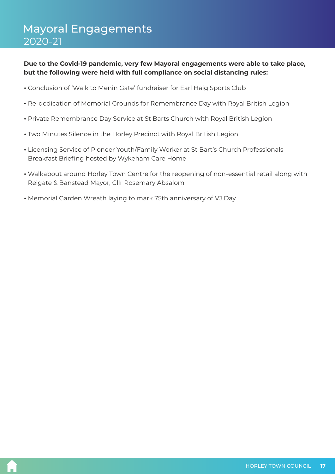# <span id="page-16-0"></span>Mayoral Engagements 2020-21

### **Due to the Covid-19 pandemic, very few Mayoral engagements were able to take place, but the following were held with full compliance on social distancing rules:**

- Conclusion of 'Walk to Menin Gate' fundraiser for Earl Haig Sports Club
- Re-dedication of Memorial Grounds for Remembrance Day with Royal British Legion
- Private Remembrance Day Service at St Barts Church with Royal British Legion
- Two Minutes Silence in the Horley Precinct with Royal British Legion
- Licensing Service of Pioneer Youth/Family Worker at St Bart's Church Professionals Breakfast Briefing hosted by Wykeham Care Home
- Walkabout around Horley Town Centre for the reopening of non-essential retail along with Reigate & Banstead Mayor, Cllr Rosemary Absalom
- Memorial Garden Wreath laying to mark 75th anniversary of VJ Day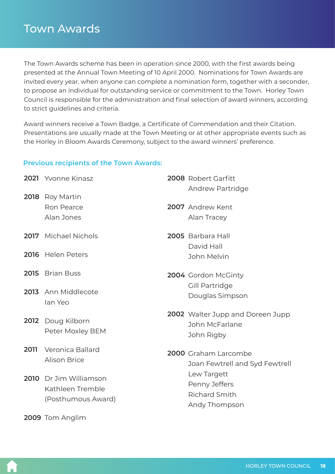# <span id="page-17-0"></span>Town Awards

The Town Awards scheme has been in operation since 2000, with the first awards being presented at the Annual Town Meeting of 10 April 2000. Nominations for Town Awards are invited every year, when anyone can complete a nomination form, together with a seconder, to propose an individual for outstanding service or commitment to the Town. Horley Town Council is responsible for the administration and final selection of award winners, according to strict guidelines and criteria.

Award winners receive a Town Badge, a Certificate of Commendation and their Citation. Presentations are usually made at the Town Meeting or at other appropriate events such as the Horley in Bloom Awards Ceremony, subject to the award winners' preference.

### **Previous recipients of the Town Awards:**

|      | 2021 Yvonne Kinasz                    | 2008 Robert Garfitt              |
|------|---------------------------------------|----------------------------------|
|      | <b>2018</b> Roy Martin                | Andrew Partridge                 |
|      | Ron Pearce                            | 2007 Andrew Kent                 |
|      | Alan Jones                            | Alan Tracey                      |
|      | 2017 Michael Nichols                  | 2005 Barbara Hall                |
|      |                                       | David Hall                       |
|      | 2016 Helen Peters                     | John Melvin                      |
|      | 2015 Brian Buss                       | 2004 Gordon McGinty              |
|      | 2013 Ann Middlecote                   | Gill Partridge                   |
|      | lan Yeo                               | Douglas Simpson                  |
|      |                                       | 2002 Walter Jupp and Doreen Jupp |
|      | 2012 Doug Kilborn<br>Peter Moxley BEM | John McFarlane                   |
|      |                                       | John Rigby                       |
| 2011 | Veronica Ballard                      | 2000 Graham Larcombe             |
|      | <b>Alison Brice</b>                   | Joan Fewtrell and Syd Fewtrell   |
|      | 2010 Dr Jim Williamson                | Lew Targett                      |
|      | Kathleen Tremble                      | Penny Jeffers                    |
|      | (Posthumous Award)                    | <b>Richard Smith</b>             |
|      |                                       | Andy Thompson                    |
|      | 2009 Tom Anglim                       |                                  |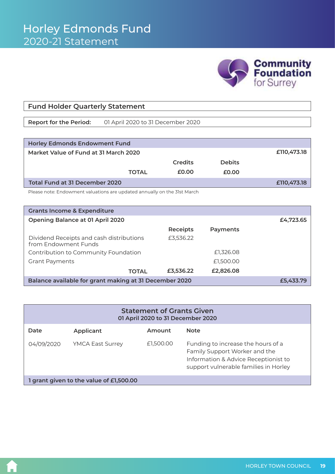

### <span id="page-18-0"></span>**Fund Holder Quarterly Statement**

**Report for the Period:** 01 April 2020 to 31 December 2020

| <b>Horley Edmonds Endowment Fund</b>  |              |                |               |             |  |
|---------------------------------------|--------------|----------------|---------------|-------------|--|
| Market Value of Fund at 31 March 2020 | £110,473.18  |                |               |             |  |
|                                       |              | <b>Credits</b> | <b>Debits</b> |             |  |
|                                       | <b>TOTAL</b> | £0.00          | £0.00         |             |  |
| Total Fund at 31 December 2020        |              |                |               | £110,473.18 |  |

Please note: Endowment valuations are updated annually on the 31st March

| <b>Grants Income &amp; Expenditure</b>                           |                 |           |  |  |  |
|------------------------------------------------------------------|-----------------|-----------|--|--|--|
| Opening Balance at 01 April 2020                                 | £4,723.65       |           |  |  |  |
|                                                                  | <b>Receipts</b> | Payments  |  |  |  |
| Dividend Receipts and cash distributions<br>from Endowment Funds | £3,536.22       |           |  |  |  |
| Contribution to Community Foundation                             |                 | £1,326.08 |  |  |  |
| <b>Grant Payments</b>                                            |                 | £1,500.00 |  |  |  |
| <b>TOTAL</b>                                                     | £3,536.22       | £2,826.08 |  |  |  |
| Balance available for grant making at 31 December 2020           | £5.433.79       |           |  |  |  |

| <b>Statement of Grants Given</b><br>01 April 2020 to 31 December 2020 |                         |           |                                                                                                                                                      |  |  |
|-----------------------------------------------------------------------|-------------------------|-----------|------------------------------------------------------------------------------------------------------------------------------------------------------|--|--|
| Date                                                                  | Applicant               | Amount    | <b>Note</b>                                                                                                                                          |  |  |
| 04/09/2020                                                            | <b>YMCA East Surrey</b> | £1,500.00 | Funding to increase the hours of a<br>Family Support Worker and the<br>Information & Advice Receptionist to<br>support vulnerable families in Horley |  |  |
| 1 grant given to the value of £1,500.00                               |                         |           |                                                                                                                                                      |  |  |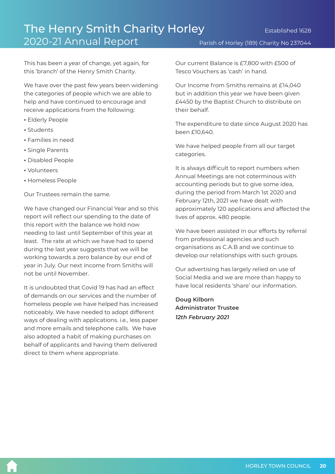Parish of Horley (189) Charity No 237044

<span id="page-19-0"></span>This has been a year of change, yet again, for this 'branch' of the Henry Smith Charity.

We have over the past few years been widening the categories of people which we are able to help and have continued to encourage and receive applications from the following:

- Elderly People
- $\cdot$  Students
- Families in need
- Single Parents
- Disabled People
- Volunteers
- Homeless People

Our Trustees remain the same.

We have changed our Financial Year and so this report will reflect our spending to the date of this report with the balance we hold now needing to last until September of this year at least. The rate at which we have had to spend during the last year suggests that we will be working towards a zero balance by our end of year in July. Our next income from Smiths will not be until November.

It is undoubted that Covid 19 has had an effect of demands on our services and the number of homeless people we have helped has increased noticeably. We have needed to adopt different ways of dealing with applications. i.e., less paper and more emails and telephone calls. We have also adopted a habit of making purchases on behalf of applicants and having them delivered direct to them where appropriate.

Our current Balance is £7,800 with £500 of Tesco Vouchers as 'cash' in hand.

Our Income from Smiths remains at £14,040 but in addition this year we have been given £4450 by the Baptist Church to distribute on their behalf.

The expenditure to date since August 2020 has been £10,640.

We have helped people from all our target categories.

It is always difficult to report numbers when Annual Meetings are not coterminous with accounting periods but to give some idea, during the period from March 1st 2020 and February 12th, 2021 we have dealt with approximately 120 applications and affected the lives of approx. 480 people.

We have been assisted in our efforts by referral from professional agencies and such organisations as C.A.B and we continue to develop our relationships with such groups.

Our advertising has largely relied on use of Social Media and we are more than happy to have local residents 'share' our information.

**Doug Kilborn Administrator Trustee** *12th February 2021*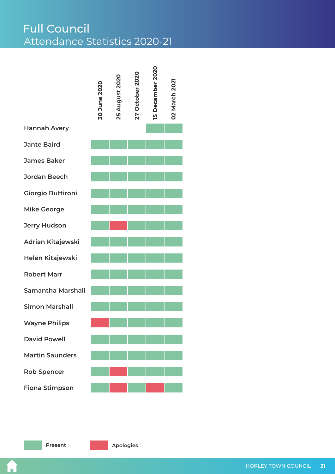<span id="page-20-0"></span>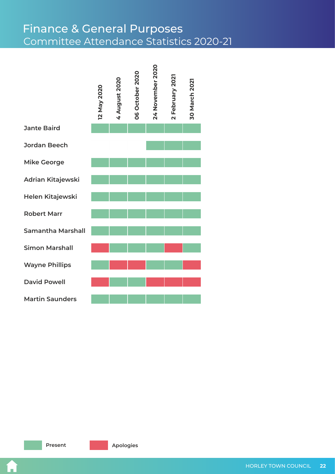# Committee Attendance Statistics 2020-21 Finance & General Purposes

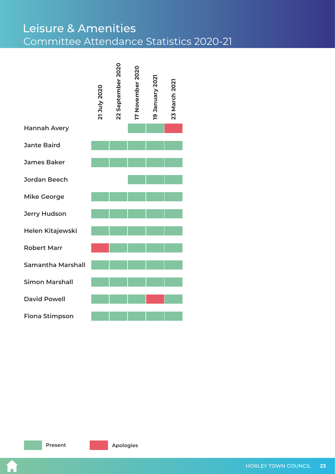# Committee Attendance Statistics 2020-21 Leisure & Amenities

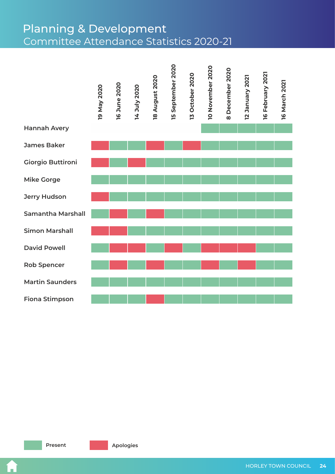# Committee Attendance Statistics 2020-21 Planning & Development



J.

**Present Apologies**

HORLEY TOWN COUNCIL **24**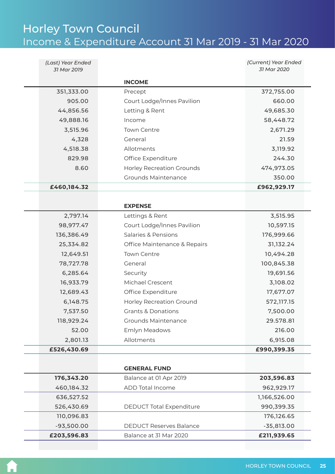# <span id="page-24-0"></span>Horley Town Council Income & Expenditure Account 31 Mar 2019 - 31 Mar 2020

| (Last) Year Ended<br>31 Mar 2019 |                                  | (Current) Year Ended<br>31 Mar 2020 |
|----------------------------------|----------------------------------|-------------------------------------|
|                                  |                                  |                                     |
|                                  | <b>INCOME</b>                    |                                     |
| 351,333.00                       | Precept                          | 372,755.00                          |
| 905.00                           | Court Lodge/Innes Pavilion       | 660.00                              |
| 44,856.56                        | Letting & Rent                   | 49,685.30                           |
| 49,888.16                        | Income                           | 58,448.72                           |
| 3,515.96                         | <b>Town Centre</b>               | 2,671.29                            |
| 4,328                            | General                          | 21.59                               |
| 4,518.38                         | Allotments                       | 3,119.92                            |
| 829.98                           | Office Expenditure               | 244.30                              |
| 8.60                             | <b>Horley Recreation Grounds</b> | 474,973.05                          |
|                                  | <b>Grounds Maintenance</b>       | 350.00                              |
| £460,184.32                      |                                  | £962,929.17                         |
|                                  |                                  |                                     |
|                                  | <b>EXPENSE</b>                   |                                     |
| 2,797.14                         | Lettings & Rent                  | 3,515.95                            |
| 98,977.47                        | Court Lodge/Innes Pavilion       | 10,597.15                           |
| 136,386.49                       | Salaries & Pensions              | 176,999.66                          |
| 25,334.82                        | Office Maintenance & Repairs     | 31,132.24                           |
| 12,649.51                        | <b>Town Centre</b>               | 10,494.28                           |
| 78,727.78                        | General                          | 100,845.38                          |
| 6,285.64                         | Security                         | 19,691.56                           |
| 16,933.79                        | Michael Crescent                 | 3,108.02                            |
| 12,689.43                        | Office Expenditure               | 17,677.07                           |
| 6,148.75                         | <b>Horley Recreation Ground</b>  | 572,117.15                          |
| 7,537.50                         | <b>Grants &amp; Donations</b>    | 7,500.00                            |
| 118,929.24                       | <b>Grounds Maintenance</b>       | 29.578.81                           |
| 52.00                            | Emlyn Meadows                    | 216.00                              |
| 2,801.13                         | Allotments                       | 6,915.08                            |
| £526,430.69                      |                                  | £990,399.35                         |
|                                  |                                  |                                     |
|                                  | <b>GENERAL FUND</b>              |                                     |
| 176,343.20                       | Balance at 01 Apr 2019           | 203,596.83                          |
| 460,184.32                       | ADD Total Income                 | 962,929.17                          |
| 636,527.52                       |                                  | 1,166,526.00                        |
| 526,430.69                       | <b>DEDUCT Total Expenditure</b>  | 990,399.35                          |
| 110,096.83                       |                                  | 176,126.65                          |
| $-93,500.00$                     | <b>DEDUCT Reserves Balance</b>   | $-35,813.00$                        |
| £203,596.83                      | Balance at 31 Mar 2020           | £211,939.65                         |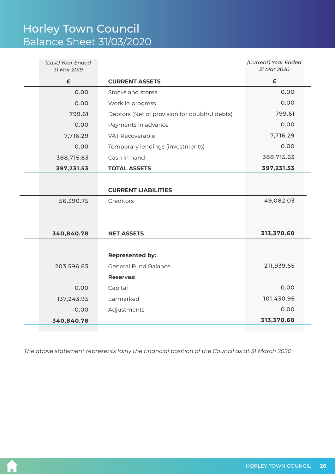<span id="page-25-0"></span>

| (Last) Year Ended<br>31 Mar 2019 |                                               | (Current) Year Ended<br>31 Mar 2020 |
|----------------------------------|-----------------------------------------------|-------------------------------------|
| £                                | <b>CURRENT ASSETS</b>                         | $\pmb{\epsilon}$                    |
| 0.00                             | Stocks and stores                             | 0.00                                |
| 0.00                             | Work in progress                              | 0.00                                |
| 799.61                           | Debtors (Net of provision for doubtful debts) | 799.61                              |
| 0.00                             | Payments in advance                           | 0.00                                |
| 7,716.29                         | VAT Recoverable                               | 7,716.29                            |
| 0.00                             | Temporary lendings (investments)              | 0.00                                |
| 388,715.63                       | Cash in hand                                  | 388,715.63                          |
| 397,231.53                       | <b>TOTAL ASSETS</b>                           | 397,231.53                          |
|                                  |                                               |                                     |
|                                  | <b>CURRENT LIABILITIES</b>                    |                                     |
| 56,390.75                        | Creditors                                     | 49,082.03                           |
|                                  |                                               |                                     |
|                                  |                                               |                                     |
| 340,840.78                       | <b>NET ASSETS</b>                             | 313,370.60                          |
|                                  |                                               |                                     |
|                                  | <b>Represented by:</b>                        |                                     |
| 203,596.83                       | <b>General Fund Balance</b>                   | 211,939.65                          |
|                                  | <b>Reserves:</b>                              |                                     |
| 0.00                             | Capital                                       | 0.00                                |
| 137,243.95                       | Earmarked                                     | 101,430.95                          |
| 0.00                             | Adjustments                                   | 0.00                                |
| 340,840.78                       |                                               | 313,370.60                          |
|                                  |                                               |                                     |

*The above statement represents fairly the financial position of the Council as at 31 March 2020*